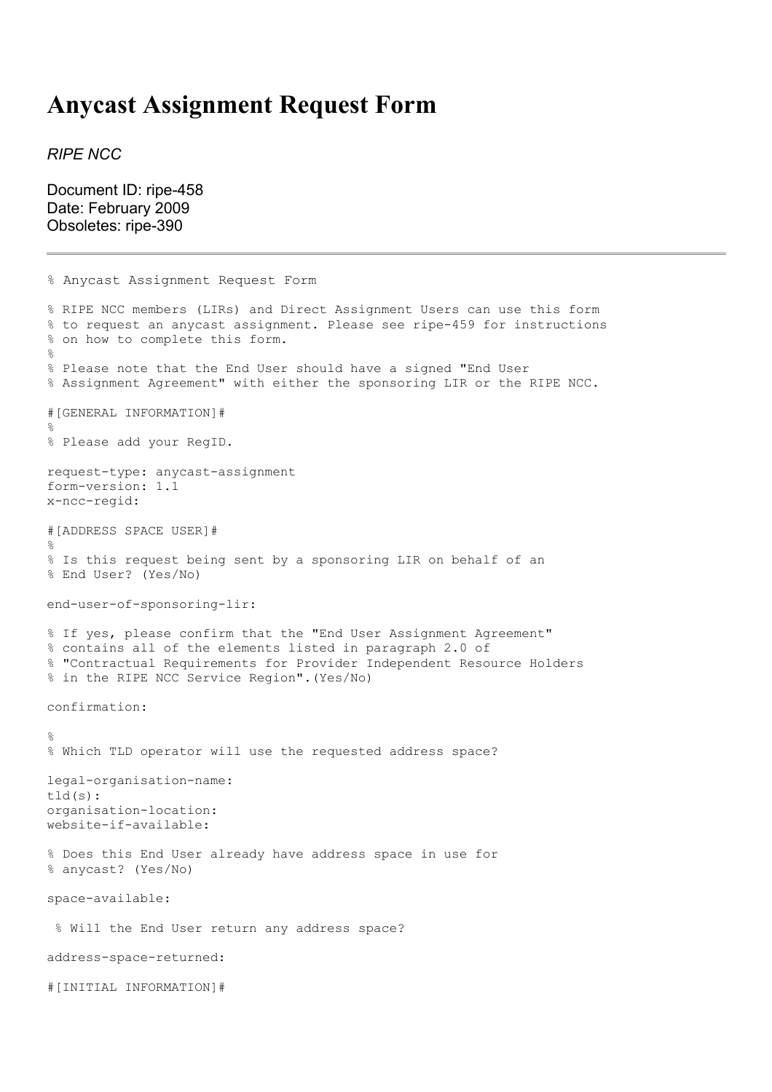## **Anycast Assignment Request Form**

*RIPE NCC*

Document ID: ripe-458 Date: February 2009 Obsoletes: ripe-390

```
% Anycast Assignment Request Form
% RIPE NCC members (LIRs) and Direct Assignment Users can use this form
% to request an anycast assignment. Please see ripe-459 for instructions
% on how to complete this form.
%
% Please note that the End User should have a signed "End User
% Assignment Agreement" with either the sponsoring LIR or the RIPE NCC.
#[GENERAL INFORMATION]#
\approx% Please add your RegID.
request-type: anycast-assignment
form-version: 1.1
x-ncc-regid:
#[ADDRESS SPACE USER]#
%
% Is this request being sent by a sponsoring LIR on behalf of an
% End User? (Yes/No)
end-user-of-sponsoring-lir:
% If yes, please confirm that the "End User Assignment Agreement"
% contains all of the elements listed in paragraph 2.0 of
% "Contractual Requirements for Provider Independent Resource Holders
% in the RIPE NCC Service Region".(Yes/No)
confirmation:
\frac{1}{2}% Which TLD operator will use the requested address space?
legal-organisation-name:
tld(s):
organisation-location:
website-if-available:
% Does this End User already have address space in use for
% anycast? (Yes/No)
space-available:
 % Will the End User return any address space?
address-space-returned:
#[INITIAL INFORMATION]#
```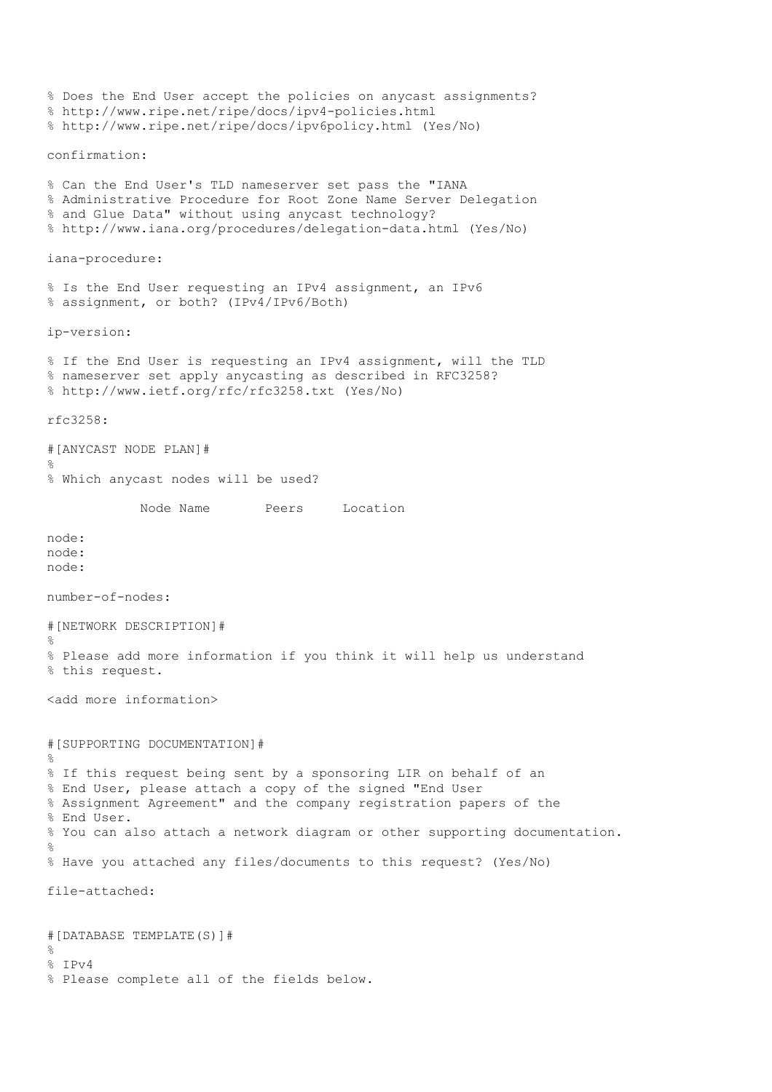% Does the End User accept the policies on anycast assignments? % http://www.ripe.net/ripe/docs/ipv4-policies.html % http://www.ripe.net/ripe/docs/ipv6policy.html (Yes/No) confirmation: % Can the End User's TLD nameserver set pass the "IANA % Administrative Procedure for Root Zone Name Server Delegation % and Glue Data" without using anycast technology? % http://www.iana.org/procedures/delegation-data.html (Yes/No) iana-procedure: % Is the End User requesting an IPv4 assignment, an IPv6 % assignment, or both? (IPv4/IPv6/Both) ip-version: % If the End User is requesting an IPv4 assignment, will the TLD % nameserver set apply anycasting as described in RFC3258? % http://www.ietf.org/rfc/rfc3258.txt (Yes/No) rfc3258: #[ANYCAST NODE PLAN]# % % Which anycast nodes will be used? Node Name Peers Location node: node: node: number-of-nodes: #[NETWORK DESCRIPTION]# % % Please add more information if you think it will help us understand % this request. <add more information> #[SUPPORTING DOCUMENTATION]#  $\circ$ % If this request being sent by a sponsoring LIR on behalf of an % End User, please attach a copy of the signed "End User % Assignment Agreement" and the company registration papers of the % End User. % You can also attach a network diagram or other supporting documentation. % % Have you attached any files/documents to this request? (Yes/No) file-attached: #[DATABASE TEMPLATE(S)]#  $\mathfrak{D}$ % IPv4 % Please complete all of the fields below.